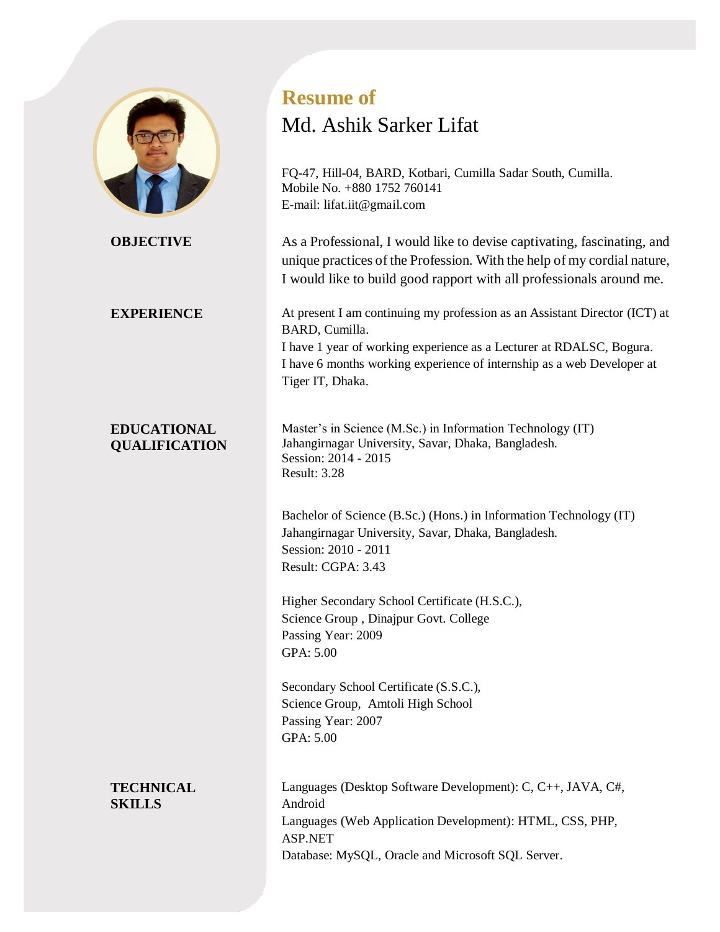

# **EDUCATIONAL QUALIFICATION**

**Resume of**

# Md. Ashik Sarker Lifat

FQ-47, Hill-04, BARD, Kotbari, Cumilla Sadar South, Cumilla. Mobile No. +880 1752 760141 E-mail: lifat.iit@gmail.com

**OBJECTIVE** As a Professional, I would like to devise captivating, fascinating, and unique practices of the Profession. With the help of my cordial nature, I would like to build good rapport with all professionals around me.

**EXPERIENCE** At present I am continuing my profession as an Assistant Director (ICT) at BARD, Cumilla.

I have 1 year of working experience as a Lecturer at RDALSC, Bogura. I have 6 months working experience of internship as a web Developer at Tiger IT, Dhaka.

Master's in Science (M.Sc.) in Information Technology (IT) Jahangirnagar University, Savar, Dhaka, Bangladesh. Session: 2014 - 2015 Result: 3.28

Bachelor of Science (B.Sc.) (Hons.) in Information Technology (IT) Jahangirnagar University, Savar, Dhaka, Bangladesh. Session: 2010 - 2011 Result: CGPA: 3.43

Higher Secondary School Certificate (H.S.C.), Science Group , Dinajpur Govt. College Passing Year: 2009 GPA: 5.00

Secondary School Certificate (S.S.C.), Science Group, Amtoli High School Passing Year: 2007 GPA: 5.00

**TECHNICAL SKILLS**

Languages (Desktop Software Development): C, C++, JAVA, C#, Android Languages (Web Application Development): HTML, CSS, PHP, ASP.NET Database: MySQL, Oracle and Microsoft SQL Server.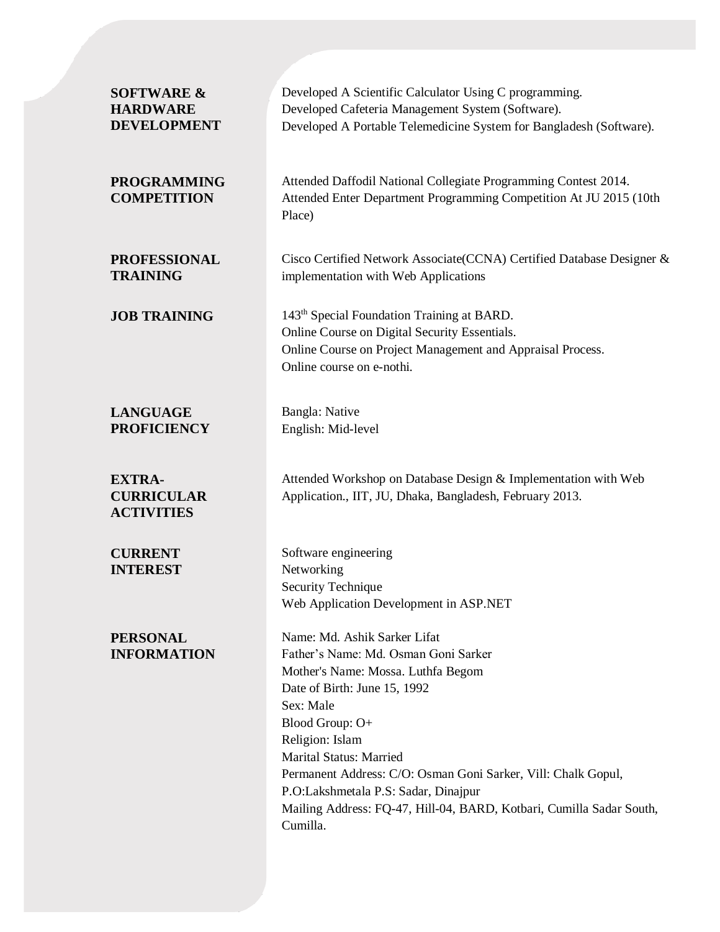| <b>SOFTWARE &amp;</b><br><b>HARDWARE</b><br><b>DEVELOPMENT</b> | Developed A Scientific Calculator Using C programming.<br>Developed Cafeteria Management System (Software).<br>Developed A Portable Telemedicine System for Bangladesh (Software).                                                                                                                                                                                                                                           |
|----------------------------------------------------------------|------------------------------------------------------------------------------------------------------------------------------------------------------------------------------------------------------------------------------------------------------------------------------------------------------------------------------------------------------------------------------------------------------------------------------|
| <b>PROGRAMMING</b><br><b>COMPETITION</b>                       | Attended Daffodil National Collegiate Programming Contest 2014.<br>Attended Enter Department Programming Competition At JU 2015 (10th<br>Place)                                                                                                                                                                                                                                                                              |
| <b>PROFESSIONAL</b><br><b>TRAINING</b>                         | Cisco Certified Network Associate(CCNA) Certified Database Designer &<br>implementation with Web Applications                                                                                                                                                                                                                                                                                                                |
| <b>JOB TRAINING</b>                                            | 143 <sup>th</sup> Special Foundation Training at BARD.<br>Online Course on Digital Security Essentials.<br>Online Course on Project Management and Appraisal Process.<br>Online course on e-nothi.                                                                                                                                                                                                                           |
| <b>LANGUAGE</b><br><b>PROFICIENCY</b>                          | Bangla: Native<br>English: Mid-level                                                                                                                                                                                                                                                                                                                                                                                         |
| <b>EXTRA-</b><br><b>CURRICULAR</b><br><b>ACTIVITIES</b>        | Attended Workshop on Database Design & Implementation with Web<br>Application., IIT, JU, Dhaka, Bangladesh, February 2013.                                                                                                                                                                                                                                                                                                   |
| <b>CURRENT</b><br><b>INTEREST</b>                              | Software engineering<br>Networking<br>Security Technique<br>Web Application Development in ASP.NET                                                                                                                                                                                                                                                                                                                           |
| <b>PERSONAL</b><br><b>INFORMATION</b>                          | Name: Md. Ashik Sarker Lifat<br>Father's Name: Md. Osman Goni Sarker<br>Mother's Name: Mossa. Luthfa Begom<br>Date of Birth: June 15, 1992<br>Sex: Male<br>Blood Group: O+<br>Religion: Islam<br><b>Marital Status: Married</b><br>Permanent Address: C/O: Osman Goni Sarker, Vill: Chalk Gopul,<br>P.O:Lakshmetala P.S: Sadar, Dinajpur<br>Mailing Address: FQ-47, Hill-04, BARD, Kotbari, Cumilla Sadar South,<br>Cumilla. |